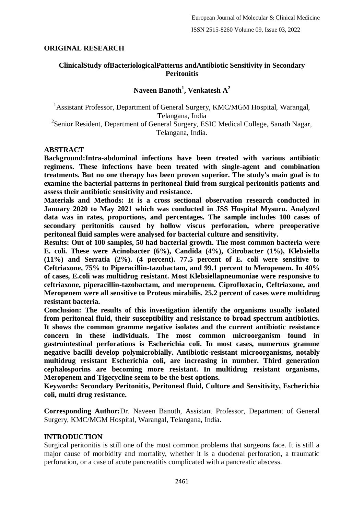# **ORIGINAL RESEARCH**

### **ClinicalStudy ofBacteriologicalPatterns andAntibiotic Sensitivity in Secondary Peritonitis**

# **Naveen Banoth<sup>1</sup> , Venkatesh A<sup>2</sup>**

<sup>1</sup> Assistant Professor, Department of General Surgery, KMC/MGM Hospital, Warangal, Telangana, India <sup>2</sup> Senior Resident, Department of General Surgery, ESIC Medical College, Sanath Nagar, Telangana, India.

#### **ABSTRACT**

**Background:Intra-abdominal infections have been treated with various antibiotic regimens. These infections have been treated with single-agent and combination treatments. But no one therapy has been proven superior. The study's main goal is to examine the bacterial patterns in peritoneal fluid from surgical peritonitis patients and assess their antibiotic sensitivity and resistance.**

**Materials and Methods: It is a cross sectional observation research conducted in January 2020 to May 2021 which was conducted in JSS Hospital Mysuru. Analyzed data was in rates, proportions, and percentages. The sample includes 100 cases of secondary peritonitis caused by hollow viscus perforation, where preoperative peritoneal fluid samples were analysed for bacterial culture and sensitivity.**

**Results: Out of 100 samples, 50 had bacterial growth. The most common bacteria were E. coli. These were Acinobacter (6%), Candida (4%), Citrobacter (1%), Klebsiella (11%) and Serratia (2%). (4 percent). 77.5 percent of E. coli were sensitive to Ceftriaxone, 75% to Piperacillin-tazobactam, and 99.1 percent to Meropenem. In 40% of cases, E.coli was multidrug resistant. Most Klebsiellapneumoniae were responsive to ceftriaxone, piperacillin-tazobactam, and meropenem. Ciprofloxacin, Ceftriaxone, and Meropenem were all sensitive to Proteus mirabilis. 25.2 percent of cases were multidrug resistant bacteria.**

**Conclusion: The results of this investigation identify the organisms usually isolated from peritoneal fluid, their susceptibility and resistance to broad spectrum antibiotics. It shows the common gramme negative isolates and the current antibiotic resistance concern in these individuals. The most common microorganism found in gastrointestinal perforations is Escherichia coli. In most cases, numerous gramme negative bacilli develop polymicrobially. Antibiotic-resistant microorganisms, notably multidrug resistant Escherichia coli, are increasing in number. Third generation cephalosporins are becoming more resistant. In multidrug resistant organisms, Meropenem and Tigecycline seem to be the best options.**

**Keywords: Secondary Peritonitis, Peritoneal fluid, Culture and Sensitivity, Escherichia coli, multi drug resistance.**

**Corresponding Author:**Dr. Naveen Banoth, Assistant Professor, Department of General Surgery, KMC/MGM Hospital, Warangal, Telangana, India.

### **INTRODUCTION**

Surgical peritonitis is still one of the most common problems that surgeons face. It is still a major cause of morbidity and mortality, whether it is a duodenal perforation, a traumatic perforation, or a case of acute pancreatitis complicated with a pancreatic abscess.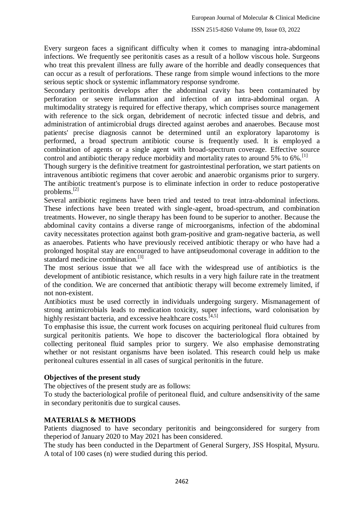Every surgeon faces a significant difficulty when it comes to managing intra-abdominal infections. We frequently see peritonitis cases as a result of a hollow viscous hole. Surgeons who treat this prevalent illness are fully aware of the horrible and deadly consequences that can occur as a result of perforations. These range from simple wound infections to the more serious septic shock or systemic inflammatory response syndrome.

Secondary peritonitis develops after the abdominal cavity has been contaminated by perforation or severe inflammation and infection of an intra-abdominal organ. A multimodality strategy is required for effective therapy, which comprises source management with reference to the sick organ, debridement of necrotic infected tissue and debris, and administration of antimicrobial drugs directed against aerobes and anaerobes. Because most patients' precise diagnosis cannot be determined until an exploratory laparotomy is performed, a broad spectrum antibiotic course is frequently used. It is employed a combination of agents or a single agent with broad-spectrum coverage. Effective source control and antibiotic therapy reduce morbidity and mortality rates to around 5% to 6%.<sup>[1]</sup>

Though surgery is the definitive treatment for gastrointestinal perforation, we start patients on intravenous antibiotic regimens that cover aerobic and anaerobic organisms prior to surgery. The antibiotic treatment's purpose is to eliminate infection in order to reduce postoperative problems.[2]

Several antibiotic regimens have been tried and tested to treat intra-abdominal infections. These infections have been treated with single-agent, broad-spectrum, and combination treatments. However, no single therapy has been found to be superior to another. Because the abdominal cavity contains a diverse range of microorganisms, infection of the abdominal cavity necessitates protection against both gram-positive and gram-negative bacteria, as well as anaerobes. Patients who have previously received antibiotic therapy or who have had a prolonged hospital stay are encouraged to have antipseudomonal coverage in addition to the standard medicine combination.[3]

The most serious issue that we all face with the widespread use of antibiotics is the development of antibiotic resistance, which results in a very high failure rate in the treatment of the condition. We are concerned that antibiotic therapy will become extremely limited, if not non-existent.

Antibiotics must be used correctly in individuals undergoing surgery. Mismanagement of strong antimicrobials leads to medication toxicity, super infections, ward colonisation by highly resistant bacteria, and excessive healthcare costs.<sup>[4,5]</sup>

To emphasise this issue, the current work focuses on acquiring peritoneal fluid cultures from surgical peritonitis patients. We hope to discover the bacteriological flora obtained by collecting peritoneal fluid samples prior to surgery. We also emphasise demonstrating whether or not resistant organisms have been isolated. This research could help us make peritoneal cultures essential in all cases of surgical peritonitis in the future.

# **Objectives of the present study**

The objectives of the present study are as follows:

To study the bacteriological profile of peritoneal fluid, and culture andsensitivity of the same in secondary peritonitis due to surgical causes.

# **MATERIALS & METHODS**

Patients diagnosed to have secondary peritonitis and beingconsidered for surgery from theperiod of January 2020 to May 2021 has been considered.

The study has been conducted in the Department of General Surgery, JSS Hospital, Mysuru. A total of 100 cases (n) were studied during this period.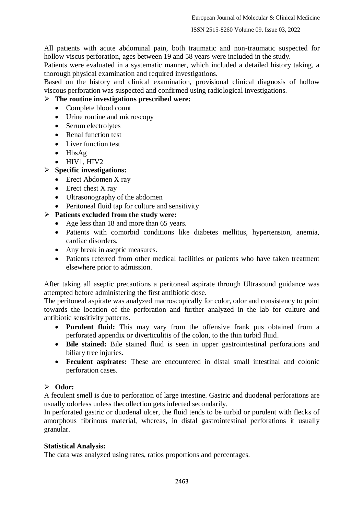All patients with acute abdominal pain, both traumatic and non-traumatic suspected for hollow viscus perforation, ages between 19 and 58 years were included in the study.

Patients were evaluated in a systematic manner, which included a detailed history taking, a thorough physical examination and required investigations.

Based on the history and clinical examination, provisional clinical diagnosis of hollow viscous perforation was suspected and confirmed using radiological investigations.

# **The routine investigations prescribed were:**

- Complete blood count
- Urine routine and microscopy
- Serum electrolytes
- Renal function test
- Liver function test
- HbsAg
- HIV1, HIV2
- **Specific investigations:**
	- Erect Abdomen X ray
		- $\bullet$  Erect chest X ray
		- Ultrasonography of the abdomen
	- Peritoneal fluid tap for culture and sensitivity
- **Patients excluded from the study were:**
	- Age less than 18 and more than 65 years.
	- Patients with comorbid conditions like diabetes mellitus, hypertension, anemia, cardiac disorders.
	- Any break in aseptic measures.
	- Patients referred from other medical facilities or patients who have taken treatment elsewhere prior to admission.

After taking all aseptic precautions a peritoneal aspirate through Ultrasound guidance was attempted before administering the first antibiotic dose.

The peritoneal aspirate was analyzed macroscopically for color, odor and consistency to point towards the location of the perforation and further analyzed in the lab for culture and antibiotic sensitivity patterns.

- **Purulent fluid:** This may vary from the offensive frank pus obtained from a perforated appendix or diverticulitis of the colon, to the thin turbid fluid.
- **Bile stained:** Bile stained fluid is seen in upper gastrointestinal perforations and biliary tree injuries.
- **Feculent aspirates:** These are encountered in distal small intestinal and colonic perforation cases.

# **Odor:**

A feculent smell is due to perforation of large intestine. Gastric and duodenal perforations are usually odorless unless thecollection gets infected secondarily.

In perforated gastric or duodenal ulcer, the fluid tends to be turbid or purulent with flecks of amorphous fibrinous material, whereas, in distal gastrointestinal perforations it usually granular.

### **Statistical Analysis:**

The data was analyzed using rates, ratios proportions and percentages.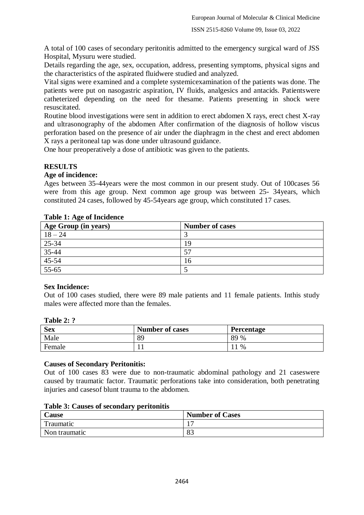A total of 100 cases of secondary peritonitis admitted to the emergency surgical ward of JSS Hospital, Mysuru were studied.

Details regarding the age, sex, occupation, address, presenting symptoms, physical signs and the characteristics of the aspirated fluidwere studied and analyzed.

Vital signs were examined and a complete systemicexamination of the patients was done. The patients were put on nasogastric aspiration, IV fluids, analgesics and antacids. Patientswere catheterized depending on the need for thesame. Patients presenting in shock were resuscitated.

Routine blood investigations were sent in addition to erect abdomen X rays, erect chest X-ray and ultrasonography of the abdomen After confirmation of the diagnosis of hollow viscus perforation based on the presence of air under the diaphragm in the chest and erect abdomen X rays a peritoneal tap was done under ultrasound guidance.

One hour preoperatively a dose of antibiotic was given to the patients.

# **RESULTS**

### **Age of incidence:**

Ages between 35-44years were the most common in our present study. Out of 100cases 56 were from this age group. Next common age group was between 25- 34years, which constituted 24 cases, followed by 45-54years age group, which constituted 17 cases.

| Age Group (in years)                        | <b>Number of cases</b> |
|---------------------------------------------|------------------------|
| $18 - 24$                                   |                        |
|                                             | 19                     |
|                                             | 57                     |
|                                             | 16                     |
| $\frac{25-34}{35-44}$ $\frac{45-54}{55-65}$ |                        |

### **Table 1: Age of Incidence**

### **Sex Incidence:**

Out of 100 cases studied, there were 89 male patients and 11 female patients. Inthis study males were affected more than the females.

#### **Table 2: ?**

| <b>Sex</b> | <b>Number of cases</b> | Percentage |
|------------|------------------------|------------|
| Male       | 89                     | 89 %       |
| Female     |                        | $\%$       |

### **Causes of Secondary Peritonitis:**

Out of 100 cases 83 were due to non-traumatic abdominal pathology and 21 caseswere caused by traumatic factor. Traumatic perforations take into consideration, both penetrating injuries and casesof blunt trauma to the abdomen.

### **Table 3: Causes of secondary peritonitis**

| <b>Lause</b>  | <b>Number of Cases</b> |
|---------------|------------------------|
| Traumatic     |                        |
| Non traumatic | $\circ$<br>OJ.         |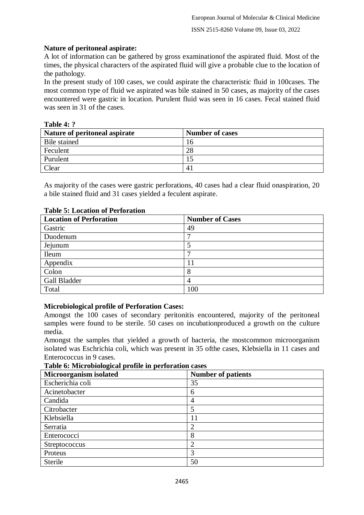### **Nature of peritoneal aspirate:**

A lot of information can be gathered by gross examinationof the aspirated fluid. Most of the times, the physical characters of the aspirated fluid will give a probable clue to the location of the pathology.

In the present study of 100 cases, we could aspirate the characteristic fluid in 100cases. The most common type of fluid we aspirated was bile stained in 50 cases, as majority of the cases encountered were gastric in location. Purulent fluid was seen in 16 cases. Fecal stained fluid was seen in 31 of the cases.

### **Table 4: ?**

| Nature of peritoneal aspirate | <b>Number of cases</b> |
|-------------------------------|------------------------|
| Bile stained                  | 16                     |
| Feculent                      | 28                     |
| Purulent                      |                        |
| Clear                         |                        |

As majority of the cases were gastric perforations, 40 cases had a clear fluid onaspiration, 20 a bile stained fluid and 31 cases yielded a feculent aspirate.

| <b>Location of Perforation</b> | <b>Number of Cases</b> |
|--------------------------------|------------------------|
| Gastric                        | 49                     |
| Duodenum                       |                        |
| Jejunum                        |                        |
| Ileum                          |                        |
| Appendix                       |                        |
| Colon                          |                        |
| Gall Bladder                   | 4                      |
| Total                          | 100                    |

### **Table 5: Location of Perforation**

# **Microbiological profile of Perforation Cases:**

Amongst the 100 cases of secondary peritonitis encountered, majority of the peritoneal samples were found to be sterile. 50 cases on incubationproduced a growth on the culture media.

Amongst the samples that yielded a growth of bacteria, the mostcommon microorganism isolated was Eschrichia coli, which was present in 35 ofthe cases, Klebsiella in 11 cases and Enterococcus in 9 cases.

**Table 6: Microbiological profile in perforation cases**

| Microorganism isolated | <b>Number of patients</b> |
|------------------------|---------------------------|
| Escherichia coli       | 35                        |
| Acinetobacter          | 6                         |
| Candida                |                           |
| Citrobacter            | 5                         |
| Klebsiella             | 11                        |
| Serratia               | $\overline{2}$            |
| Enterococci            | 8                         |
| Streptococcus          | ∍                         |
| Proteus                | 3                         |
| <b>Sterile</b>         | 50                        |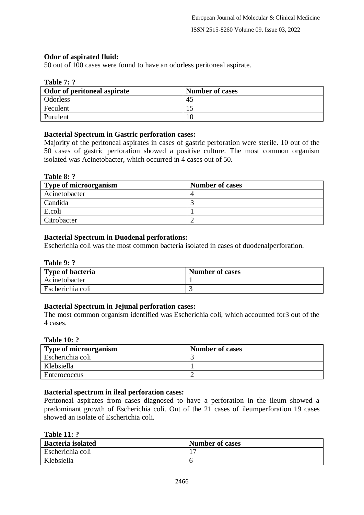# **Odor of aspirated fluid:**

50 out of 100 cases were found to have an odorless peritoneal aspirate.

### **Table 7: ?**

| Odor of peritoneal aspirate | <b>Number of cases</b> |
|-----------------------------|------------------------|
| <b>Odorless</b>             | 45                     |
| Feculent                    |                        |
| Purulent                    | 16                     |

# **Bacterial Spectrum in Gastric perforation cases:**

Majority of the peritoneal aspirates in cases of gastric perforation were sterile. 10 out of the 50 cases of gastric perforation showed a positive culture. The most common organism isolated was Acinetobacter, which occurred in 4 cases out of 50.

#### **Table 8: ?**

| <b>Type of microorganism</b> | <b>Number of cases</b> |
|------------------------------|------------------------|
| Acinetobacter                |                        |
| Candida                      |                        |
| E.coli                       |                        |
| Citrobacter                  |                        |

### **Bacterial Spectrum in Duodenal perforations:**

Escherichia coli was the most common bacteria isolated in cases of duodenalperforation.

| <b>Table 9: ?</b> |  |  |
|-------------------|--|--|
|-------------------|--|--|

| <b>Type of bacteria</b> | <b>Number of cases</b> |
|-------------------------|------------------------|
| Acinetobacter           |                        |
| Escherichia coli        |                        |

### **Bacterial Spectrum in Jejunal perforation cases:**

The most common organism identified was Escherichia coli, which accounted for3 out of the 4 cases.

### **Table 10: ?**

| <b>Type of microorganism</b> | <b>Number of cases</b> |
|------------------------------|------------------------|
| Escherichia coli             |                        |
| Klebsiella                   |                        |
| Enterococcus                 |                        |

# **Bacterial spectrum in ileal perforation cases:**

Peritoneal aspirates from cases diagnosed to have a perforation in the ileum showed a predominant growth of Escherichia coli. Out of the 21 cases of ileumperforation 19 cases showed an isolate of Escherichia coli.

| <b>Table 11:</b> |
|------------------|
|------------------|

| <b>Bacteria</b> isolated | <b>Number of cases</b> |
|--------------------------|------------------------|
| Escherichia coli         | . <del>. .</del>       |
| Klebsiella               |                        |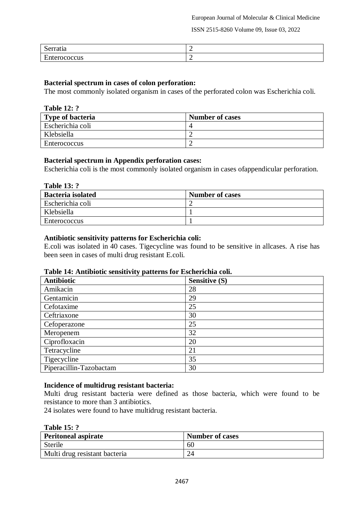ISSN 2515-8260 Volume 09, Issue 03, 2022

| aua                            | - |
|--------------------------------|---|
| ້                              |   |
| $\blacksquare$<br>$- - -$<br>ഄ | - |

### **Bacterial spectrum in cases of colon perforation:**

The most commonly isolated organism in cases of the perforated colon was Escherichia coli.

| <b>Table 12: ?</b> |
|--------------------|
|                    |

| <b>Type of bacteria</b> | <b>Number of cases</b> |
|-------------------------|------------------------|
| Escherichia coli        |                        |
| Klebsiella              |                        |
| Enterococcus            |                        |

### **Bacterial spectrum in Appendix perforation cases:**

Escherichia coli is the most commonly isolated organism in cases ofappendicular perforation.

| <b>Table 13: ?</b>       |                        |
|--------------------------|------------------------|
| <b>Bacteria</b> isolated | <b>Number of cases</b> |
| Escherichia coli         |                        |
| Klebsiella               |                        |
| Enterococcus             |                        |

### **Antibiotic sensitivity patterns for Escherichia coli:**

E.coli was isolated in 40 cases. Tigecycline was found to be sensitive in allcases. A rise has been seen in cases of multi drug resistant E.coli.

### **Table 14: Antibiotic sensitivity patterns for Escherichia coli.**

| <b>Antibiotic</b>       | <b>Sensitive (S)</b> |
|-------------------------|----------------------|
| Amikacin                | 28                   |
| Gentamicin              | 29                   |
| Cefotaxime              | 25                   |
| Ceftriaxone             | 30                   |
| Cefoperazone            | 25                   |
| Meropenem               | 32                   |
| Ciprofloxacin           | 20                   |
| Tetracycline            | 21                   |
| Tigecycline             | 35                   |
| Piperacillin-Tazobactam | 30                   |

# **Incidence of multidrug resistant bacteria:**

Multi drug resistant bacteria were defined as those bacteria, which were found to be resistance to more than 3 antibiotics.

24 isolates were found to have multidrug resistant bacteria.

| <b>Table 15: ?</b> |  |
|--------------------|--|
|--------------------|--|

| <b>Peritoneal aspirate</b>    | <b>Number of cases</b> |
|-------------------------------|------------------------|
| Sterile                       | -60                    |
| Multi drug resistant bacteria |                        |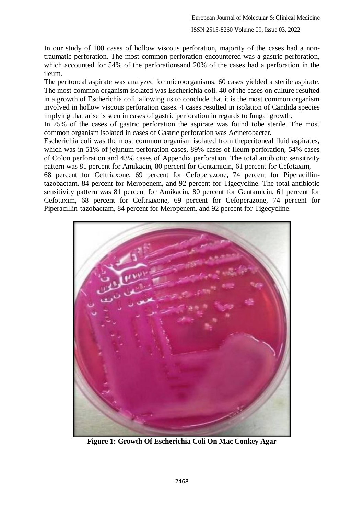In our study of 100 cases of hollow viscous perforation, majority of the cases had a nontraumatic perforation. The most common perforation encountered was a gastric perforation, which accounted for 54% of the perforationsand 20% of the cases had a perforation in the ileum.

The peritoneal aspirate was analyzed for microorganisms. 60 cases yielded a sterile aspirate. The most common organism isolated was Escherichia coli. 40 of the cases on culture resulted in a growth of Escherichia coli, allowing us to conclude that it is the most common organism involved in hollow viscous perforation cases. 4 cases resulted in isolation of Candida species implying that arise is seen in cases of gastric perforation in regards to fungal growth.

In 75% of the cases of gastric perforation the aspirate was found tobe sterile. The most common organism isolated in cases of Gastric perforation was Acinetobacter.

Escherichia coli was the most common organism isolated from theperitoneal fluid aspirates, which was in 51% of jejunum perforation cases, 89% cases of Ileum perforation, 54% cases of Colon perforation and 43% cases of Appendix perforation. The total antibiotic sensitivity pattern was 81 percent for Amikacin, 80 percent for Gentamicin, 61 percent for Cefotaxim,

68 percent for Ceftriaxone, 69 percent for Cefoperazone, 74 percent for Piperacillintazobactam, 84 percent for Meropenem, and 92 percent for Tigecycline. The total antibiotic sensitivity pattern was 81 percent for Amikacin, 80 percent for Gentamicin, 61 percent for Cefotaxim, 68 percent for Ceftriaxone, 69 percent for Cefoperazone, 74 percent for Piperacillin-tazobactam, 84 percent for Meropenem, and 92 percent for Tigecycline.



**Figure 1: Growth Of Escherichia Coli On Mac Conkey Agar**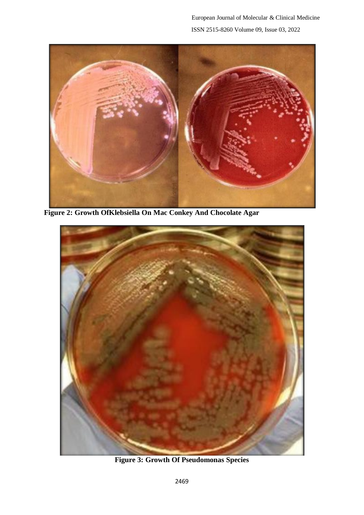

**Figure 2: Growth OfKlebsiella On Mac Conkey And Chocolate Agar**



**Figure 3: Growth Of Pseudomonas Species**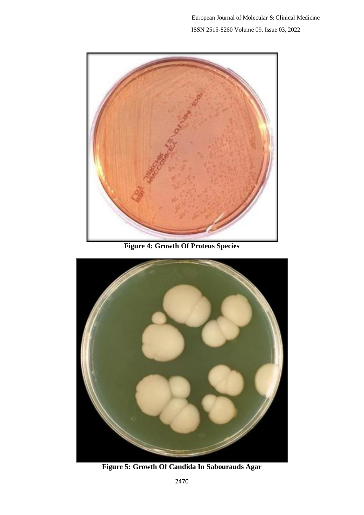

**Figure 4: Growth Of Proteus Species**



**Figure 5: Growth Of Candida In Sabourauds Agar**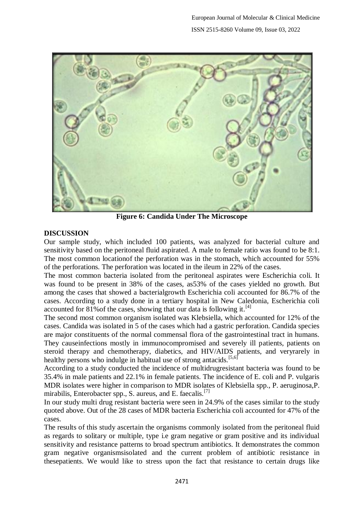

**Figure 6: Candida Under The Microscope**

# **DISCUSSION**

Our sample study, which included 100 patients, was analyzed for bacterial culture and sensitivity based on the peritoneal fluid aspirated. A male to female ratio was found to be 8:1. The most common locationof the perforation was in the stomach, which accounted for 55% of the perforations. The perforation was located in the ileum in 22% of the cases.

The most common bacteria isolated from the peritoneal aspirates were Escherichia coli. It was found to be present in 38% of the cases, as53% of the cases yielded no growth. But among the cases that showed a bacterialgrowth Escherichia coli accounted for 86.7% of the cases. According to a study done in a tertiary hospital in New Caledonia, Escherichia coli accounted for 81% of the cases, showing that our data is following it.<sup>[4]</sup>

The second most common organism isolated was Klebsiella, which accounted for 12% of the cases. Candida was isolated in 5 of the cases which had a gastric perforation. Candida species are major constituents of the normal commensal flora of the gastrointestinal tract in humans. They causeinfections mostly in immunocompromised and severely ill patients, patients on steroid therapy and chemotherapy, diabetics, and HIV/AIDS patients, and veryrarely in healthy persons who indulge in habitual use of strong antacids.<sup>[5,6]</sup>

According to a study conducted the incidence of multidrugresistant bacteria was found to be 35.4% in male patients and 22.1% in female patients. The incidence of E. coli and P. vulgaris MDR isolates were higher in comparison to MDR isolates of Klebsiella spp., P. aeruginosa,P. mirabilis, Enterobacter spp., S. aureus, and E. faecalis.<sup>[7]</sup>

In our study multi drug resistant bacteria were seen in 24.9% of the cases similar to the study quoted above. Out of the 28 cases of MDR bacteria Escherichia coli accounted for 47% of the cases.

The results of this study ascertain the organisms commonly isolated from the peritoneal fluid as regards to solitary or multiple, type i.e gram negative or gram positive and its individual sensitivity and resistance patterns to broad spectrum antibiotics. It demonstrates the common gram negative organismsisolated and the current problem of antibiotic resistance in thesepatients. We would like to stress upon the fact that resistance to certain drugs like